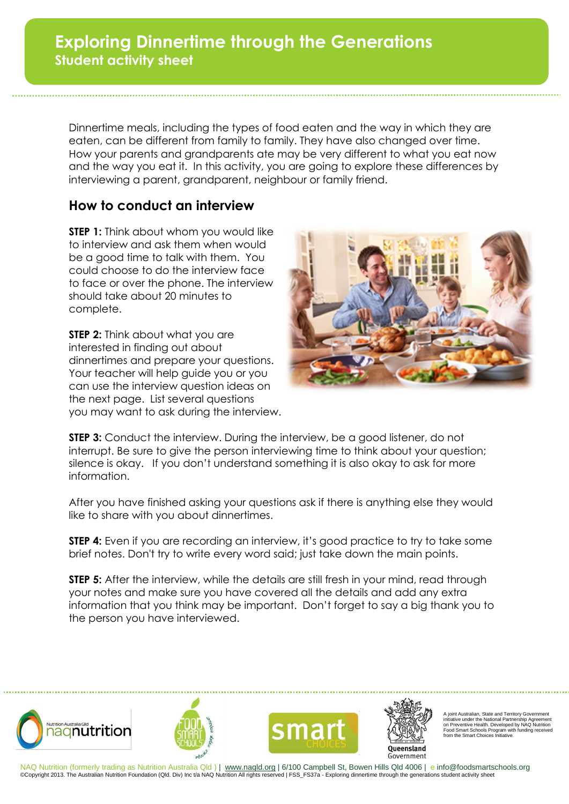Dinnertime meals, including the types of food eaten and the way in which they are eaten, can be different from family to family. They have also changed over time. How your parents and grandparents ate may be very different to what you eat now and the way you eat it. In this activity, you are going to explore these differences by interviewing a parent, grandparent, neighbour or family friend.

## **How to conduct an interview**

**STEP 1:** Think about whom you would like to interview and ask them when would be a good time to talk with them. You could choose to do the interview face to face or over the phone. The interview should take about 20 minutes to complete.

**STEP 2:** Think about what you are interested in finding out about dinnertimes and prepare your questions. Your teacher will help guide you or you can use the interview question ideas on the next page. List several questions you may want to ask during the interview.



**STEP 3:** Conduct the interview. During the interview, be a good listener, do not interrupt. Be sure to give the person interviewing time to think about your question; silence is okay. If you don't understand something it is also okay to ask for more information.

After you have finished asking your questions ask if there is anything else they would like to share with you about dinnertimes.

**STEP 4:** Even if you are recording an interview, it's good practice to try to take some brief notes. Don't try to write every word said; just take down the main points.

**STEP 5:** After the interview, while the details are still fresh in your mind, read through your notes and make sure you have covered all the details and add any extra information that you think may be important. Don't forget to say a big thank you to the person you have interviewed.



NAQ Nutrition (formerly trading as Nutrition Australia Qld ) | www.naqld.org | 6/100 Campbell St, Bowen Hills Qld 4006 | e info@foodsmartschools.org ©Copyright 2013. The Australian Nutrition Foundation (Qld. Div) Inc t/a NAQ Nutrition All rights reserved | FSS\_FS37a - Exploring dinnertime through the generations student activity sheet